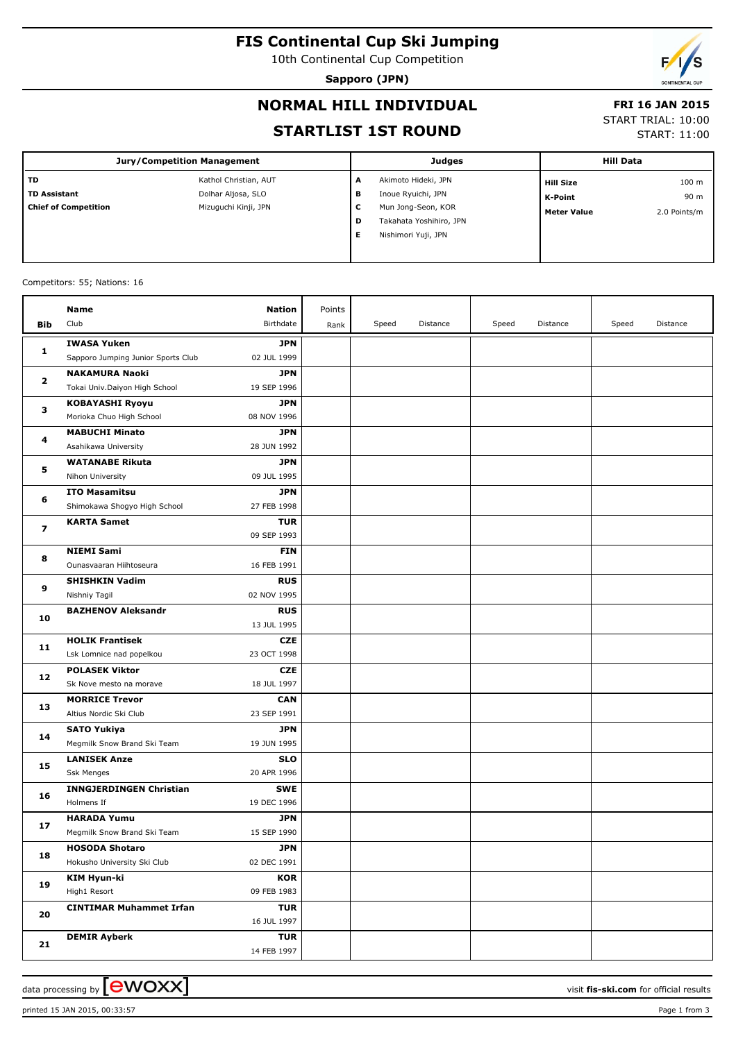# **FIS Continental Cup Ski Jumping**

10th Continental Cup Competition

**Sapporo (JPN)**

# **NORMAL HILL INDIVIDUAL**

## **FRI 16 JAN 2015**

## **STARTLIST 1ST ROUND**

START TRIAL: 10:00

START: 11:00

| Jury/Competition Management |                       |   | <b>Judges</b>           |                    | <b>Hill Data</b> |  |
|-----------------------------|-----------------------|---|-------------------------|--------------------|------------------|--|
| <b>TD</b>                   | Kathol Christian, AUT | A | Akimoto Hideki, JPN     | <b>Hill Size</b>   | 100 <sub>m</sub> |  |
| <b>TD Assistant</b>         | Dolhar Aljosa, SLO    | в | Inoue Ryuichi, JPN      | K-Point            | 90 m             |  |
| <b>Chief of Competition</b> | Mizuguchi Kinji, JPN  | c | Mun Jong-Seon, KOR      | <b>Meter Value</b> | 2.0 Points/m     |  |
|                             |                       | D | Takahata Yoshihiro, JPN |                    |                  |  |
|                             |                       | Е | Nishimori Yuji, JPN     |                    |                  |  |
|                             |                       |   |                         |                    |                  |  |

#### Competitors: 55; Nations: 16

|                         | Name                                            | <b>Nation</b>             | Points |       |          |       |          |       |          |
|-------------------------|-------------------------------------------------|---------------------------|--------|-------|----------|-------|----------|-------|----------|
| Bib                     | Club                                            | Birthdate                 | Rank   | Speed | Distance | Speed | Distance | Speed | Distance |
|                         | <b>IWASA Yuken</b>                              | <b>JPN</b>                |        |       |          |       |          |       |          |
| 1                       | Sapporo Jumping Junior Sports Club              | 02 JUL 1999               |        |       |          |       |          |       |          |
|                         | <b>NAKAMURA Naoki</b>                           | <b>JPN</b>                |        |       |          |       |          |       |          |
| $\overline{\mathbf{2}}$ | Tokai Univ.Daiyon High School                   | 19 SEP 1996               |        |       |          |       |          |       |          |
|                         | <b>KOBAYASHI Ryoyu</b>                          | <b>JPN</b>                |        |       |          |       |          |       |          |
| з                       | Morioka Chuo High School                        | 08 NOV 1996               |        |       |          |       |          |       |          |
| 4                       | <b>MABUCHI Minato</b>                           | <b>JPN</b>                |        |       |          |       |          |       |          |
|                         | Asahikawa University                            | 28 JUN 1992               |        |       |          |       |          |       |          |
|                         | <b>WATANABE Rikuta</b>                          | <b>JPN</b>                |        |       |          |       |          |       |          |
| 5                       | Nihon University                                | 09 JUL 1995               |        |       |          |       |          |       |          |
| 6                       | <b>ITO Masamitsu</b>                            | <b>JPN</b>                |        |       |          |       |          |       |          |
|                         | Shimokawa Shogyo High School                    | 27 FEB 1998               |        |       |          |       |          |       |          |
| 7                       | <b>KARTA Samet</b>                              | <b>TUR</b>                |        |       |          |       |          |       |          |
|                         |                                                 | 09 SEP 1993               |        |       |          |       |          |       |          |
| 8                       | <b>NIEMI Sami</b>                               | <b>FIN</b>                |        |       |          |       |          |       |          |
|                         | Ounasvaaran Hiihtoseura                         | 16 FEB 1991               |        |       |          |       |          |       |          |
| 9                       | <b>SHISHKIN Vadim</b>                           | <b>RUS</b>                |        |       |          |       |          |       |          |
|                         | Nishniy Tagil                                   | 02 NOV 1995               |        |       |          |       |          |       |          |
| 10                      | <b>BAZHENOV Aleksandr</b>                       | <b>RUS</b>                |        |       |          |       |          |       |          |
|                         |                                                 | 13 JUL 1995               |        |       |          |       |          |       |          |
| 11                      | <b>HOLIK Frantisek</b>                          | <b>CZE</b>                |        |       |          |       |          |       |          |
|                         | Lsk Lomnice nad popelkou                        | 23 OCT 1998               |        |       |          |       |          |       |          |
| 12                      | <b>POLASEK Viktor</b>                           | <b>CZE</b>                |        |       |          |       |          |       |          |
|                         | Sk Nove mesto na morave                         | 18 JUL 1997               |        |       |          |       |          |       |          |
| 13                      | <b>MORRICE Trevor</b><br>Altius Nordic Ski Club | <b>CAN</b><br>23 SEP 1991 |        |       |          |       |          |       |          |
|                         | <b>SATO Yukiya</b>                              | <b>JPN</b>                |        |       |          |       |          |       |          |
| 14                      | Megmilk Snow Brand Ski Team                     | 19 JUN 1995               |        |       |          |       |          |       |          |
|                         | <b>LANISEK Anze</b>                             | SLO                       |        |       |          |       |          |       |          |
| 15                      | <b>Ssk Menges</b>                               | 20 APR 1996               |        |       |          |       |          |       |          |
|                         | <b>INNGJERDINGEN Christian</b>                  | <b>SWE</b>                |        |       |          |       |          |       |          |
| 16                      | Holmens If                                      | 19 DEC 1996               |        |       |          |       |          |       |          |
|                         | <b>HARADA Yumu</b>                              | JPN                       |        |       |          |       |          |       |          |
| 17                      | Megmilk Snow Brand Ski Team                     | 15 SEP 1990               |        |       |          |       |          |       |          |
|                         | <b>HOSODA Shotaro</b>                           | <b>JPN</b>                |        |       |          |       |          |       |          |
| 18                      | Hokusho University Ski Club                     | 02 DEC 1991               |        |       |          |       |          |       |          |
|                         | <b>KIM Hyun-ki</b>                              | <b>KOR</b>                |        |       |          |       |          |       |          |
| 19                      | High1 Resort                                    | 09 FEB 1983               |        |       |          |       |          |       |          |
|                         | <b>CINTIMAR Muhammet Irfan</b>                  | <b>TUR</b>                |        |       |          |       |          |       |          |
| 20                      |                                                 | 16 JUL 1997               |        |       |          |       |          |       |          |
| 21                      | <b>DEMIR Ayberk</b>                             | <b>TUR</b>                |        |       |          |       |          |       |          |
|                         |                                                 | 14 FEB 1997               |        |       |          |       |          |       |          |

data processing by **CWOXX** and the set of the visit **fis-ski.com** for official results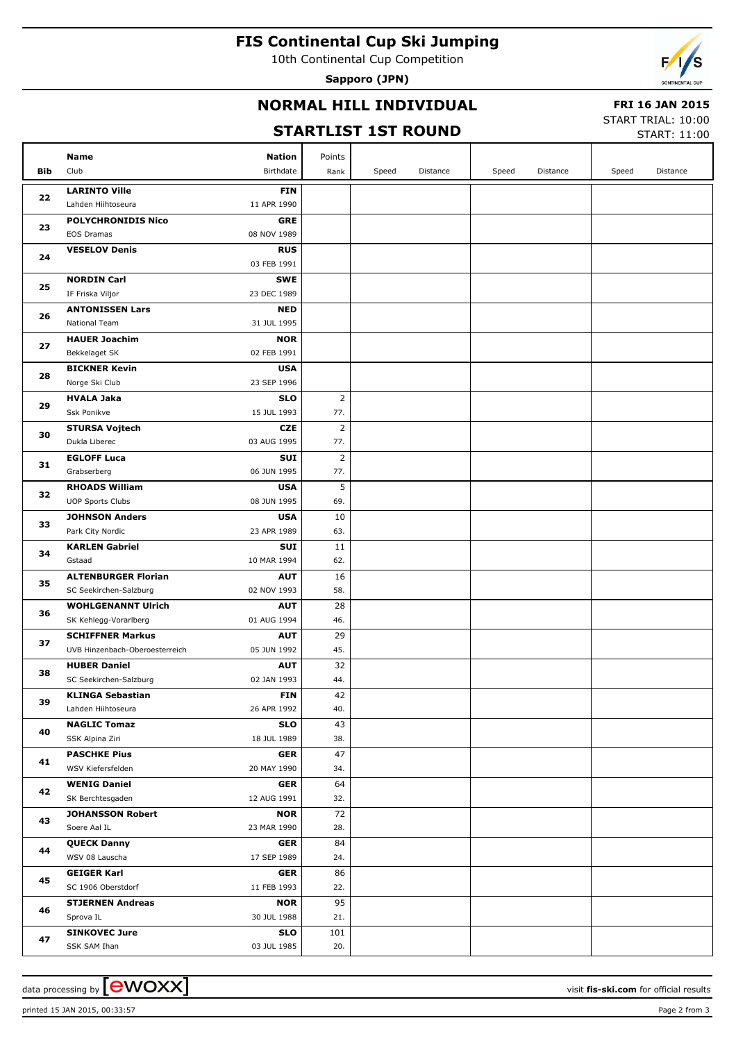# **FIS Continental Cup Ski Jumping**

10th Continental Cup Competition

**Sapporo (JPN)**



## **NORMAL HILL INDIVIDUAL**

#### **FRI 16 JAN 2015**

#### **STARTLIST 1ST ROUND**

START TRIAL: 10:00

|     | <b>STARTLIST 1ST ROUND</b>           |                           |                |       |          |       |          |       | <b>START: 11:00</b> |
|-----|--------------------------------------|---------------------------|----------------|-------|----------|-------|----------|-------|---------------------|
|     | Name                                 | <b>Nation</b>             | Points         |       |          |       |          |       |                     |
| Bib | Club                                 | Birthdate                 | Rank           | Speed | Distance | Speed | Distance | Speed | Distance            |
|     | <b>LARINTO Ville</b>                 | <b>FIN</b>                |                |       |          |       |          |       |                     |
| 22  | Lahden Hiihtoseura                   | 11 APR 1990               |                |       |          |       |          |       |                     |
|     | <b>POLYCHRONIDIS Nico</b>            | GRE                       |                |       |          |       |          |       |                     |
| 23  | <b>EOS Dramas</b>                    | 08 NOV 1989               |                |       |          |       |          |       |                     |
|     | <b>VESELOV Denis</b>                 | <b>RUS</b>                |                |       |          |       |          |       |                     |
| 24  |                                      | 03 FEB 1991               |                |       |          |       |          |       |                     |
|     | <b>NORDIN Carl</b>                   | <b>SWE</b>                |                |       |          |       |          |       |                     |
| 25  | IF Friska Viljor                     | 23 DEC 1989               |                |       |          |       |          |       |                     |
|     | <b>ANTONISSEN Lars</b>               | <b>NED</b>                |                |       |          |       |          |       |                     |
| 26  | National Team                        | 31 JUL 1995               |                |       |          |       |          |       |                     |
| 27  | <b>HAUER Joachim</b>                 | <b>NOR</b>                |                |       |          |       |          |       |                     |
|     | Bekkelaget SK                        | 02 FEB 1991               |                |       |          |       |          |       |                     |
| 28  | <b>BICKNER Kevin</b>                 | <b>USA</b>                |                |       |          |       |          |       |                     |
|     | Norge Ski Club                       | 23 SEP 1996               |                |       |          |       |          |       |                     |
| 29  | <b>HVALA Jaka</b>                    | <b>SLO</b>                | $\overline{2}$ |       |          |       |          |       |                     |
|     | Ssk Ponikve                          | 15 JUL 1993               | 77.            |       |          |       |          |       |                     |
| 30  | <b>STURSA Vojtech</b>                | <b>CZE</b>                | $\overline{2}$ |       |          |       |          |       |                     |
|     | Dukla Liberec                        | 03 AUG 1995               | 77.            |       |          |       |          |       |                     |
| 31  | <b>EGLOFF Luca</b>                   | <b>SUI</b>                | $\overline{2}$ |       |          |       |          |       |                     |
|     | Grabserberg                          | 06 JUN 1995               | 77.            |       |          |       |          |       |                     |
| 32  | <b>RHOADS William</b>                | <b>USA</b>                | 5              |       |          |       |          |       |                     |
|     | <b>UOP Sports Clubs</b>              | 08 JUN 1995               | 69.            |       |          |       |          |       |                     |
| 33  | <b>JOHNSON Anders</b>                | <b>USA</b>                | 10             |       |          |       |          |       |                     |
|     | Park City Nordic                     | 23 APR 1989               | 63.            |       |          |       |          |       |                     |
| 34  | <b>KARLEN Gabriel</b><br>Gstaad      | SUI<br>10 MAR 1994        | 11<br>62.      |       |          |       |          |       |                     |
|     | <b>ALTENBURGER Florian</b>           | <b>AUT</b>                | 16             |       |          |       |          |       |                     |
| 35  | SC Seekirchen-Salzburg               | 02 NOV 1993               | 58.            |       |          |       |          |       |                     |
|     | <b>WOHLGENANNT Ulrich</b>            | <b>AUT</b>                | 28             |       |          |       |          |       |                     |
| 36  | SK Kehlegg-Vorarlberg                | 01 AUG 1994               | 46.            |       |          |       |          |       |                     |
|     | <b>SCHIFFNER Markus</b>              | <b>AUT</b>                | 29             |       |          |       |          |       |                     |
| 37  | UVB Hinzenbach-Oberoesterreich       | 05 JUN 1992               | 45.            |       |          |       |          |       |                     |
|     | <b>HUBER Daniel</b>                  | <b>AUT</b>                | 32             |       |          |       |          |       |                     |
| 38  | SC Seekirchen-Salzburg               | 02 JAN 1993               | 44.            |       |          |       |          |       |                     |
|     | <b>KLINGA Sebastian</b>              | <b>FIN</b>                | 42             |       |          |       |          |       |                     |
| 39  | Lahden Hiihtoseura                   | 26 APR 1992               | 40.            |       |          |       |          |       |                     |
|     | <b>NAGLIC Tomaz</b>                  | <b>SLO</b>                | 43             |       |          |       |          |       |                     |
| 40  | SSK Alpina Ziri                      | 18 JUL 1989               | 38.            |       |          |       |          |       |                     |
| 41  | <b>PASCHKE Pius</b>                  | <b>GER</b>                | 47             |       |          |       |          |       |                     |
|     | WSV Kiefersfelden                    | 20 MAY 1990               | 34.            |       |          |       |          |       |                     |
| 42  | <b>WENIG Daniel</b>                  | <b>GER</b>                | 64             |       |          |       |          |       |                     |
|     | SK Berchtesgaden                     | 12 AUG 1991               | 32.            |       |          |       |          |       |                     |
| 43  | <b>JOHANSSON Robert</b>              | <b>NOR</b>                | 72             |       |          |       |          |       |                     |
|     | Soere Aal IL                         | 23 MAR 1990               | 28.            |       |          |       |          |       |                     |
| 44  | <b>QUECK Danny</b>                   | <b>GER</b>                | 84             |       |          |       |          |       |                     |
|     | WSV 08 Lauscha                       | 17 SEP 1989               | 24.            |       |          |       |          |       |                     |
| 45  | <b>GEIGER Karl</b>                   | <b>GER</b>                | 86             |       |          |       |          |       |                     |
|     | SC 1906 Oberstdorf                   | 11 FEB 1993               | 22.            |       |          |       |          |       |                     |
| 46  | <b>STJERNEN Andreas</b>              | <b>NOR</b>                | 95             |       |          |       |          |       |                     |
|     | Sprova IL                            | 30 JUL 1988               | 21.            |       |          |       |          |       |                     |
| 47  | <b>SINKOVEC Jure</b><br>SSK SAM Ihan | <b>SLO</b><br>03 JUL 1985 | 101<br>20.     |       |          |       |          |       |                     |
|     |                                      |                           |                |       |          |       |          |       |                     |